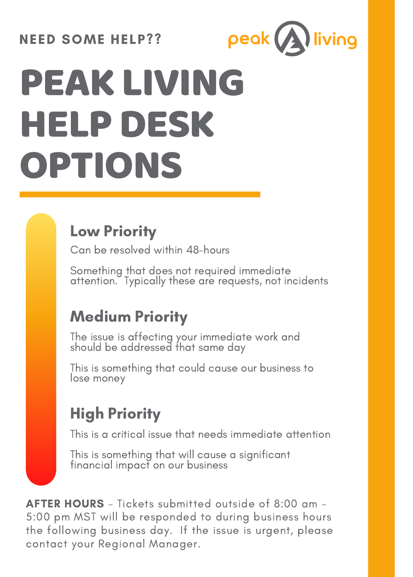#### NEED SOME HELP??



# PEAK LIVING **HELP DESK** OPTIONS

### Low Priority

Can be resolved within 48-hours

Something that does not required immediate attention. Typically these are requests, not incidents

#### Medium Priority

The issue is affecting your immediate work and should be addressed that same day

This is something that could cause our business to lose money

#### High Priority

This is a critical issue that needs immediate attention

This is something that will cause a significant financial impact on our business

AFTER HOURS - Tickets submitted outside of 8:00 am - 5:00 pm MST will be responded to during business hours the following business day. If the issue is urgent, please contact your Regional Manager.